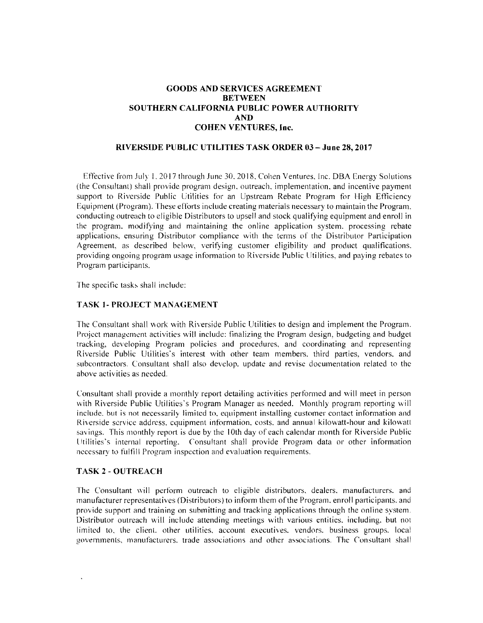#### GOODS AND SERVICES AGREEMENT **BETWEEN SOUTHERN CALIFORNIA PUBLIC POWER AUTHORITY AND COHEN VENTURES, Inc.**

#### **RIVERSIDE PUBLIC UTILITIES TASK ORDER 03 - Ju ne 28, 2017**

Effective from July 1,2017 through June 30. 2018. Cohen Ventures. Inc. DBA Energy Solutions (the Consultant) shall provide program design. outreach. implementation. and incentive payment support to Riverside Public Utilities for an Upstream Rebate Program for High Efficiency Equipment (Program). These efforts include creating materials necessary to maintain the Program. conducting outreach to eligible Distributors to upsell and stock qualifying equipment and enroll in the program. modifying and maintaining the online application system. processing rebate applications, ensuring Distributor compliance with the terms of the Distributor Participation Agreement. as described below. verifying customer eligibility and product qualifications. providing ongoing program usage information to Riverside Public Utilities. and paying rebates to Program participants.

The specific tasks shall include:

#### **TASK 1- PROJECT MANAGEMENT**

The Consultant shall work with Riverside Public Utilities to design and implement the Program. Project management activities will include: finalizing the Program design, budgeting and budget tracking, developing Program policies and procedures. and coordinating and representing Riverside Public Utilities's interest with other team members. third parties, vendors. and subcontractors. Consultant shall also develop. update and revise documentation related to the above activities as needed.

Consultant shall provide a monthly report detailing activities performed and will meet in person with Riverside Public Utilities's Program Manager as needed. Monthly program reporting will include. but is not necessarily limited to. equipment installing customer contact information and Riverside service address. equipment information. costs. and annual kilowatt-hour and kilowatt savings. This monthly report is due by the 10th day of each calendar month for Riverside Public Utilities's internal reporting. Consultant shall provide Program data or other information necessary to fulfill Program inspection and evaluation requirements.

#### **TASK 2 - OUTREACH**

The Consultant will perform outreach to eligible distributors. dealers. manufacturers. and manufacturer representatives (Distributors) to inform them ofthe Program. enroll participants. and provide support and training on submitting and tracking applications through the online system. Distributor outreach will include attending meetings with various entities. including. but not limited to, the client. other utilities. account executives. vendors. business groups. local governments. manufacturers. trade associations and other associations. The Consultant shall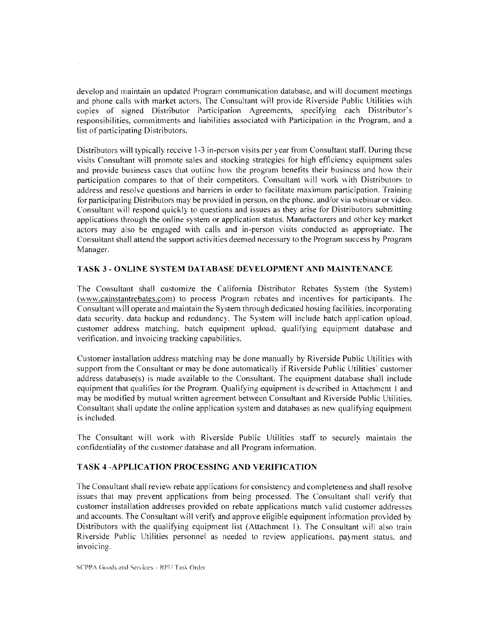develop and maintain an updated Program communication database, and will document meetings and phone calls with market actors. The Consultant will provide Riverside Public Utilities with copies of signed Distributor Participation Agreements, specifying each Distributor's responsibilities, commitments and liabilities associated with Participation in the Program, and a list of participating Distributors.

Distributors will typically receive 1-3 in-person visits per year from Consultant staff. During these visits Consultant will promote sales and stocking strategies for high efficiency equipment sales and provide business cases that outline how the program benefits their business and how their participation compares to that of their competitors. Consultant will work with Distributors to address and resolve questions and barriers in order to facilitate maximum participation. Training for participating Distributors may be provided in person, on the phone. and/or via webinar or video. Consultant will respond quickly to questions and issues as they arise for Distributors submitting applications through the online system or application status. Manufacturers and other key market actors may also be engaged with calls and in-person visits conducted as appropriate. The Consultant shall attend the support activities deemed necessary to the Program success by Program Manager.

#### **TASK** 3 - **ONLINE SYSTEM DATABASE DEVELOPMENT AND MAINTENANCE**

The Consultant shall customize the California Distributor Rebates System (the System) (www.cainstantrebates.com) to process Program rebates and incentives for participants. The Consultant will operate and maintain the System through dedicated hosting facilities. incorporating data security. data backup and redundancy. The System will include batch application upload, customer address matching. batch equipment upload, qualifying equipment database and verification. and invoicing tracking capabilities.

Customer installation address matching may be done manually by Riverside Public Utilities with support from the Consultant or may be done automatically if Riverside Public Utilities' customer address database(s) is made available to the Consultant. The equipment database shall include equipment that qualifies for the Program. Qualifying equipment is described in Attachment I and may be modified by mutual written agreement between Consultant and Riverside Public Utilities. Consultant shall update the online application system and databases as new qualifying equipment is included.

The Consultant will work with Riverside Public Utilities staff to securely maintain the confidentiality of the customer database and all Program information.

#### **TASK 4 -APPLICATION PROCESSING AND VERIFICATION**

The Consultant shall review rebate applications for consistency and completeness and shall resolve issues that may prevent applications from being processed. The Consultant shall verify that customer installation addresses provided on rebate applications match valid customer addresses and accounts. The Consultant will verify and approve eligible equipment information provided by Distributors with the qualifying equipment list (Attachment I). The Consultant will also train Riverside Public Utilities personnel as needed to review applications. payment status, and invoicing.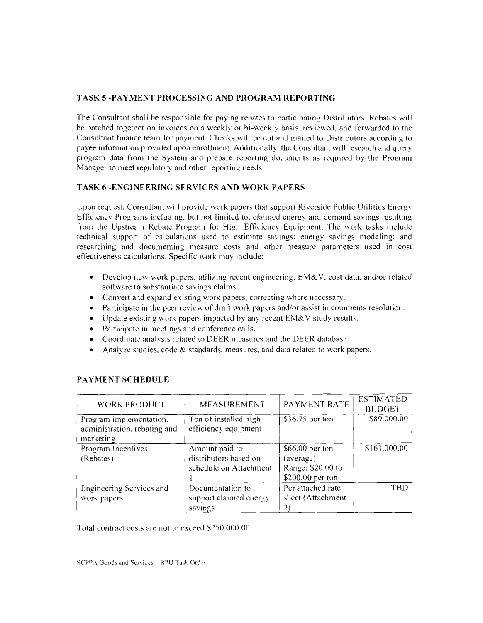#### **TASK 5 -PAYMENT PROCESSING AND PROGRAM REPORTING**

The Consultant shall be responsible for paying rebates to participating Distributors. Rebates will be batched together on invoices on a weekly or bi-wcekly basis, reviewed, and forwarded to the Consultant finance team for payment. Checks will be cut and mailed to Distributors according to payee information provided upon enrollment. Additionally. thc Consultant will research and query program data from the System and prepare reporting documents as required by the Program Manager to meet regulatory and other reporting needs.

#### **TASK 6 -ENGINEERING SERVICES AND WORK PAPERS**

Upon request. Consultant will provide work papers that support Riverside Public Utilities Energy Efficiency Programs including. but not limited to. claimed energy and demand savings resulting from the Upstream Rebate Program for High Efficiency Equipment. The work tasks include technical support of calculations used to estimate savings: energy savings modeling: and researching and documenting measure costs and other measure parameters used in cost effectiveness calculations. Specific work may include:

- Develop new work papers, utilizing recent engineering,  $EM&V$ , cost data, and/or related software to substantiate savings claims.
- Convert and expand existing work papers, correcting where necessary.
- Participate in the peer review of draft work papers and/or assist in comments resolution.
- Update existing work papers impacted by any recent EM&V study results.
- Participate in meetings and conference calls.
- Coordinate analysis related to DEER measures and the DEER database.
- Analyze studies, code  $&$  standards, measures, and data related to work papers.

| <b>WORK PRODUCT</b>                                                  | MEASUREMENT                                                       | PAYMENT RATE                                                          | <b>ESTIMATED</b><br><b>BUDGET</b> |  |
|----------------------------------------------------------------------|-------------------------------------------------------------------|-----------------------------------------------------------------------|-----------------------------------|--|
| Program implementation.<br>administration, rebating and<br>marketing | Ton of installed high<br>efficiency equipment                     | \$36.75 per ton                                                       | \$89,000.00                       |  |
| Program Incentives<br>(Rebates)                                      | Amount paid to<br>distributors based on<br>schedule on Attachment | \$66,00 per ton<br>(average)<br>Range: \$20.00 to<br>\$200.00 per ton | \$161,000.00                      |  |
| Engineering Services and<br>work papers                              | Documentation to<br>support claimed energy<br>savings             | Per attached rate<br>sheet (Attachment<br>2)                          | <b>TBD</b>                        |  |

## **PAYMENT SCHEDULE**

Total contract costs are not to exceed \$250.000.00.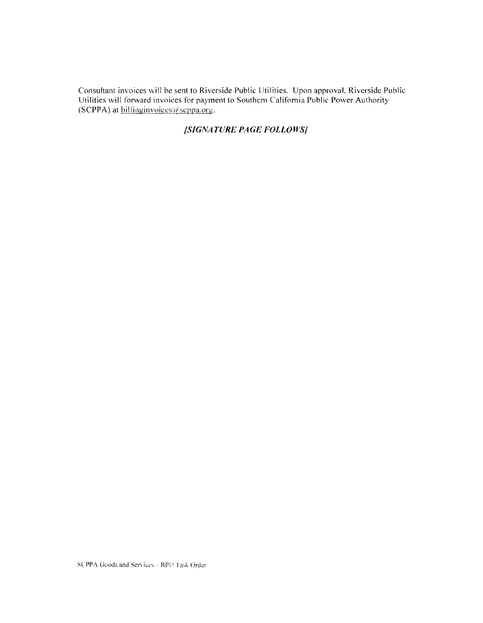Consultant invoices will be sent to Riverside Public Utilities. Upon approval, Riverside Public Utilities will forward invoices for payment to Southern California Public Power Authority (SCPPA) at billing invoices @ scppa.org.

# [SIGNATURE PAGE FOLLOWS]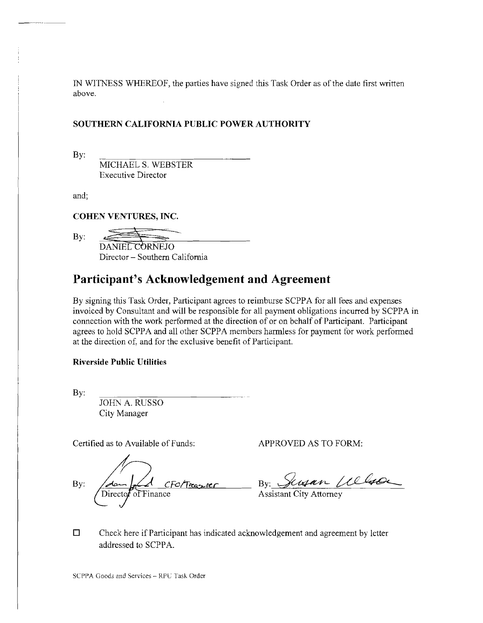IN WITNESS WHEREOF, the parties have signed this Task Order as of the date first written above.

#### **SOUTHERN CALIFORNIA PUBLIC POWER AUTHORITY**

By:

MICHAEL S. WEBSTER Executive Director

and;

**COHEN VENTURES, INC.** 

By: DANIEL CORNEJO Director - Southern California

# Participant's Acknowledgement and Agreement

By signing this Task Order, Participant agrees to reimburse SCPPA for all fees and expenses invoiced by Consultant and will be responsible for all payment obligations incurred by SCPPA in connection with the work performed at the direction of or on behalf of Participant. Participant agrees to hold SCPPA and all other SCPPA members harmless for payment for work performed at the direction of, and for the exclusive benefit of Participant.

#### **Riverside Public Utilities**

By:

JOHN A. RUSSO City Manager

Certified as to Available of Funds: APPROVED AS TO FORM:

By: August CFO/Treasurer By: Senson Welcom

 $\Box$  Check here if Participant has indicated acknowledgement and agreement by letter addressed to SCPPA.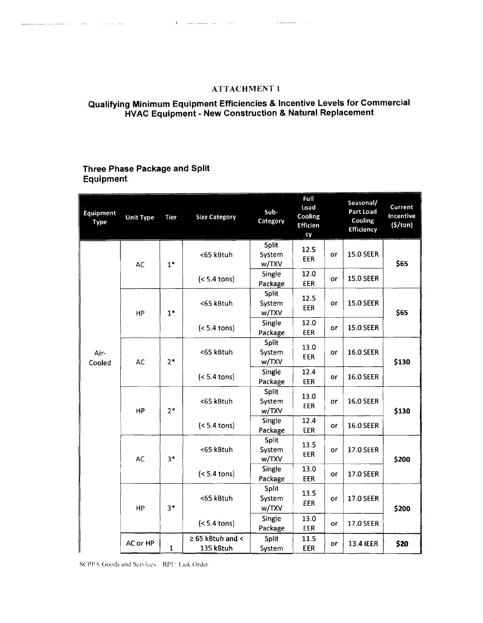## ATTACHMENT 1

#### **Qualifying Minimum Equipment Efficiencies & Incentive Levels for Commercial HVAC Equipment - New Construction & Natural Replacement**

# **Three Phase Package and Split Equipment**

and the second company

| Equipment<br>Type | <b>Unit Type</b> | Tier         | <b>Size Category</b>               | Sub-<br>Category         | Full<br>Load<br>Cooling<br><b>Efficien</b><br>cy |                    | Seasonal/<br>Part Load<br>Cooling<br>Efficiency | Current<br>Incentive<br>(5/ton) |       |                |                   |             |    |
|-------------------|------------------|--------------|------------------------------------|--------------------------|--------------------------------------------------|--------------------|-------------------------------------------------|---------------------------------|-------|----------------|-------------------|-------------|----|
|                   | <b>AC</b>        | $1*$         | <65 kBtuh                          | Split<br>System<br>w/TXV | 12.5<br>EER                                      | or                 | <b>15.0 SEER</b>                                | \$65                            |       |                |                   |             |    |
|                   |                  |              | $(< 5.4$ tons)                     | Single<br>Package        | 12.0<br>EER                                      | or                 | <b>15.0 SEER</b>                                |                                 |       |                |                   |             |    |
|                   | HP               | $1*$         | <65 kBtuh                          | Split<br>System<br>w/TXV | 12.5<br><b>EER</b>                               | or                 | <b>15.0 SEER</b>                                | \$65                            |       |                |                   |             |    |
|                   |                  |              | $(< 5.4$ tons)                     | Single<br>Package        | 12.0<br>EER                                      | or                 | <b>15.0 SEER</b>                                |                                 |       |                |                   |             |    |
| Air-<br>Cooled    | <b>AC</b>        |              | $2*$                               | <65 kBtuh                | Split<br>System<br>w/TXV                         | 13.0<br><b>EER</b> | or                                              | <b>16.0 SEER</b>                | \$130 |                |                   |             |    |
|                   |                  |              | $(< 5.4$ tons)                     | Single<br>Package        | 12.4<br><b>EER</b>                               | or                 | <b>16.0 SEER</b>                                |                                 |       |                |                   |             |    |
|                   | HP               | $2*$         |                                    | <65 kBtuh                | Split<br>System<br>w/TXV                         | 13.0<br>EER        | or                                              | <b>16.0 SEER</b>                | \$130 |                |                   |             |    |
|                   |                  |              |                                    |                          |                                                  |                    |                                                 |                                 |       | $(< 5.4$ tons) | Single<br>Package | 12.4<br>EER | or |
|                   | <b>AC</b>        |              | $3*$                               | <65 kBtuh                | Split<br>System<br>w/TXV                         | 13.5<br><b>EER</b> | or                                              | <b>17.0 SEER</b>                | \$200 |                |                   |             |    |
|                   |                  |              |                                    | $(< 5.4$ tons)           | Single<br>Package                                | 13.0<br>EER        | or                                              | <b>17.0 SEER</b>                |       |                |                   |             |    |
|                   | HP               | $3*$         | <65 kBtuh                          | Split<br>System<br>w/TXV | 13.5<br>EER                                      | or                 | 17.0 SEER                                       | \$200                           |       |                |                   |             |    |
|                   |                  |              | $(< 5.4$ tons)                     | Single<br>Package        | 13.0<br>EER                                      | or                 | <b>17.0 SEER</b>                                |                                 |       |                |                   |             |    |
|                   | AC or HP         | $\mathbf{1}$ | $\geq$ 65 kBtuh and <<br>135 kBtuh | Split<br>System          | 11.5<br><b>EER</b>                               | or                 | 13.4 IEER                                       | \$20                            |       |                |                   |             |    |

SCPPA Goods and Services - RPU Task Order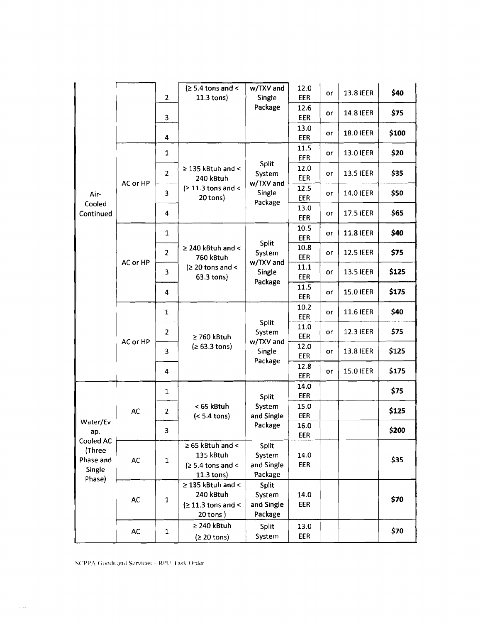|                                         |               | $\overline{2}$ | $\geq 5.4$ tons and <<br>$11.3$ tons)                                       | w/TXV and<br>Single                                      | 12.0<br>EER        | or | 13.8 IEER        | \$40  |
|-----------------------------------------|---------------|----------------|-----------------------------------------------------------------------------|----------------------------------------------------------|--------------------|----|------------------|-------|
|                                         |               | 3              |                                                                             | Package                                                  | 12.6<br>EER        | or | <b>14.8 IEER</b> | \$75  |
|                                         |               | 4              |                                                                             |                                                          | 13.0<br><b>EER</b> | or | 18.0 IEER        | \$100 |
|                                         |               | 1              |                                                                             | <b>Split</b><br>System                                   | 11.5<br>EER        | or | <b>13.0 IEER</b> | \$20  |
|                                         |               | 2              | $\geq$ 135 kBtuh and <<br>240 kBtuh                                         |                                                          | 12.0<br>EER        | or | <b>13.5 IEER</b> | \$35  |
| Air-<br>Cooled                          | AC or HP      | 3              | $\geq 11.3$ tons and <<br>20 tons)                                          | w/TXV and<br>Single<br>Package                           | 12.5<br><b>EER</b> | or | <b>14.0 IEER</b> | \$50  |
| Continued                               |               | 4              |                                                                             |                                                          | 13.0<br>EER        | or | <b>17.5 IEER</b> | \$65  |
|                                         |               | 1              |                                                                             |                                                          | 10.5<br>EER        | or | <b>11.8 IEER</b> | \$40  |
|                                         | AC or HP      | 2              | $\geq$ 240 kBtuh and <<br>760 kBtuh<br>$\geq 20$ tons and <<br>63.3 tons)   | <b>Split</b><br>System<br>w/TXV and<br>Single<br>Package | 10.8<br><b>EER</b> | or | <b>12.5 IEER</b> | \$75  |
|                                         |               | 3              |                                                                             |                                                          | 11.1<br><b>EER</b> | or | <b>13.5 IEER</b> | \$125 |
|                                         |               | 4              |                                                                             |                                                          | 11.5<br><b>EER</b> | or | <b>15.0 IEER</b> | \$175 |
|                                         |               | 1              |                                                                             |                                                          | 10.2<br>EER        | оr | 11.6 IEER        | \$40  |
|                                         | AC or HP      | 2              | $\geq$ 760 kBtuh<br>(≥ 63.3 tons)                                           | Split<br>System<br>w/TXV and<br>Single<br>Package        | 11.0<br><b>EER</b> | or | 12.3 IEER        | \$75  |
|                                         |               | 3              |                                                                             |                                                          | 12.0<br>EER        | or | 13.8 IEER        | \$125 |
|                                         |               | 4              |                                                                             |                                                          | 12.8<br><b>EER</b> | or | <b>15.0 IEER</b> | \$175 |
|                                         |               | 1              |                                                                             | Split                                                    | 14.0<br><b>EER</b> |    |                  | \$75  |
|                                         | <b>AC</b>     | 2              | < 65 kBtuh                                                                  | System                                                   | 15.0               |    |                  | \$125 |
| Water/Ev                                |               |                | $(< 5.4$ tons)                                                              | and Single<br>Package                                    | EER<br>16.0        |    |                  |       |
| ap.<br>Cooled AC                        |               | 3              |                                                                             |                                                          | EER                |    |                  | \$200 |
| (Three<br>Phase and<br>Single<br>Phase) | $\mathsf{AC}$ | $\mathbf 1$    | $\geq 65$ kBtuh and <<br>135 kBtuh<br>$\geq 5.4$ tons and <<br>$11.3$ tons) | <b>Split</b><br>System<br>and Single<br>Package          | 14.0<br>EER        |    |                  | \$35  |
|                                         | <b>AC</b>     | $\mathbf{1}$   | $\geq$ 135 kBtuh and <<br>240 kBtuh<br>$(211.3$ tons and <<br>$20$ tons)    | Split<br>System<br>and Single<br>Package                 | 14.0<br>EER        |    |                  | \$70  |
|                                         | AC            | 1              | $\geq$ 240 kBtuh<br>(≥ 20 tons)                                             | Split<br>System                                          | 13.0<br><b>EER</b> |    |                  | \$70  |

SCPPA Goods and Services - RPU Task Order

 $\sim$   $\sim$ 

. . .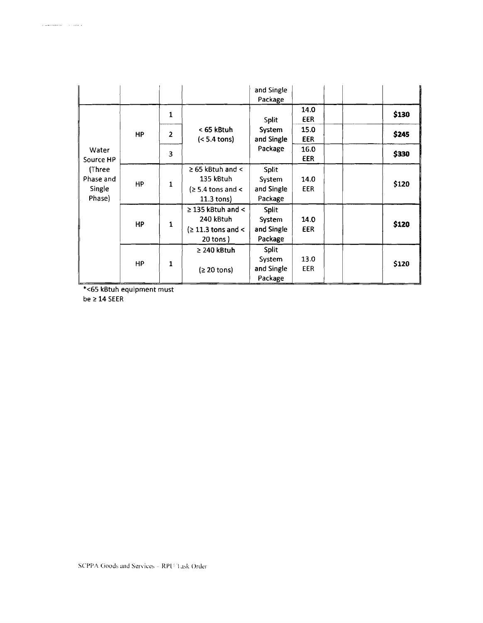|                                         |           |                |                                                                                 | and Single<br>Package                           |                    |       |
|-----------------------------------------|-----------|----------------|---------------------------------------------------------------------------------|-------------------------------------------------|--------------------|-------|
|                                         |           | 1              |                                                                                 | Split                                           | 14.0<br><b>EER</b> | \$130 |
|                                         | <b>HP</b> | $\overline{2}$ | < 65 kBtuh<br>$(< 5.4 \text{ tons})$                                            | System<br>and Single                            | 15.0<br><b>EER</b> | \$245 |
| Water<br>Source HP                      |           | 3              |                                                                                 | Package                                         | 16.0<br><b>EER</b> | \$330 |
| (Three<br>Phase and<br>Single<br>Phase) | <b>HP</b> | $\mathbf{1}$   | $\geq$ 65 kBtuh and <<br>135 kBtuh<br>$\geq 5.4$ tons and <<br>$11.3$ tons)     | Split<br>System<br>and Single<br>Package        | 14.0<br><b>EER</b> | \$120 |
|                                         | HP        | 1              | $\geq$ 135 kBtuh and $\leq$<br>240 kBtuh<br>$\geq 11.3$ tons and <<br>20 tons ) | <b>Split</b><br>System<br>and Single<br>Package | 14.0<br>EER        | \$120 |
|                                         | <b>HP</b> | $\mathbf{1}$   | $\geq$ 240 kBtuh<br>$(2 20$ tons)                                               | Split<br>System<br>and Single<br>Package        | 13.0<br><b>EER</b> | \$120 |

\*<65 kBtuh equipment must

be  $\geq 14$  SEER

 $\label{eq:1} \begin{aligned} \mathcal{L}^{\frac{1}{2}}\left( \frac{1}{\sqrt{2}}\left( \frac{1}{\sqrt{2}}\left( \frac{1}{\sqrt{2}}\left( \frac{1}{\sqrt{2}}\left( \frac{1}{\sqrt{2}}\left( \frac{1}{\sqrt{2}}\left( \frac{1}{\sqrt{2}}\left( \frac{1}{\sqrt{2}}\right) -\frac{1}{\sqrt{2}}\left( \frac{1}{\sqrt{2}}\left( \frac{1}{\sqrt{2}}\left( \frac{1}{\sqrt{2}}\right) -\frac{1}{\sqrt{2}}\left( \frac{1}{\sqrt{2}}\left( \frac{1}{\sqrt$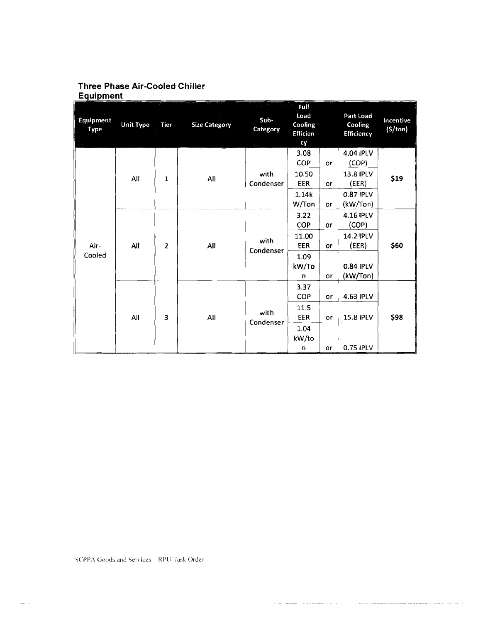# **Three Phase Air-Cooled Chiller** Equipment

|                   |                       |      |                      |                             | Full                                     |                                          |                                    |                             |
|-------------------|-----------------------|------|----------------------|-----------------------------|------------------------------------------|------------------------------------------|------------------------------------|-----------------------------|
| Equipment<br>Type | <b>Unit Type</b>      | Tier | <b>Size Category</b> | Sub-<br>Category            | Load<br>Cooling<br><b>Efficien</b><br>CV |                                          | Part Load<br>Cooling<br>Efficiency | Incentive<br>$($ \$/ton $)$ |
|                   | All<br>1              | All  | with<br>Condenser    | 3.08<br>COP<br>10.50<br>EER | or<br>or                                 | 4.04 IPLV<br>(COP)<br>13.8 IPLV<br>(EER) | \$19                               |                             |
| Air-<br>Cooled    |                       |      |                      |                             | 1.14k<br>W/Ton                           | or                                       | 0.87 IPLV<br>(kW/Ton)              |                             |
|                   | All<br>$\overline{2}$ |      | All                  | with<br>Condenser           | 3.22<br>COP                              | or                                       | 4.16 IPLV<br>(COP)                 | \$60                        |
|                   |                       |      |                      |                             | 11.00<br><b>EER</b>                      | or                                       | 14.2 IPLV<br>(EER)                 |                             |
|                   |                       |      |                      |                             | 1.09<br>kW/To<br>n                       | or                                       | 0.84 IPLV<br>(kW/Ton)              |                             |
|                   | All                   | 3    | All                  | with<br>Condenser           | 3.37<br>COP                              | or                                       | 4.63 IPLV                          |                             |
|                   |                       |      |                      |                             | 11.5<br>EER                              | or                                       | <b>15.8 IPLV</b>                   | \$98                        |
|                   |                       |      |                      |                             | 1.04<br>kW/to<br>n                       | or                                       | 0.75 IPLV                          |                             |

للأربيب المنا

 $\label{eq:1} \begin{minipage}[t]{0.9\textwidth} \begin{minipage}[t]{0.9\textwidth} \centering \begin{minipage}[t]{0.9\textwidth} \centering \end{minipage}[t]{0.9\textwidth} \begin{minipage}[t]{0.9\textwidth} \centering \end{minipage}[t]{0.9\textwidth} \begin{minipage}[t]{0.9\textwidth} \centering \end{minipage}[t]{0.9\textwidth} \begin{minipage}[t]{0.9\textwidth} \centering \end{minipage}[t]{0.9\textwidth} \begin{minipage}[t]{0.9\textwidth} \centering \end{minipage}[t]{0.9\textwidth} \begin{$ 

 $\bar{\omega}$  .  $\mathbf{r}$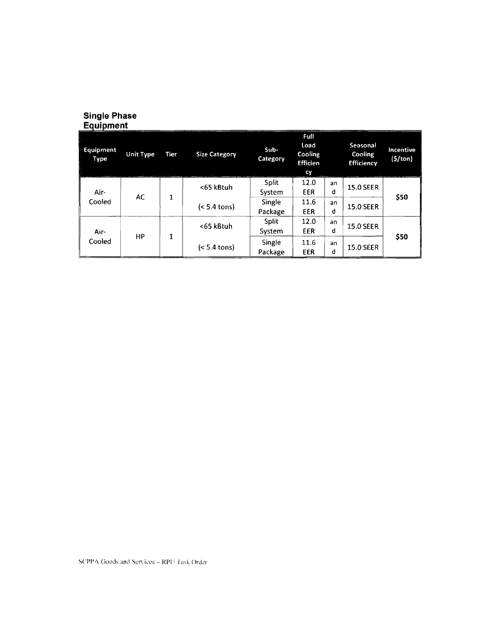# Single Phase<br>Equipment

| Equipment<br>Type<br><b>Contract Contract Contract Contract Contract Contract Contract Contract Contract Contract Contract Contract Contract Contract Contract Contract Contract Contract Contract Contract Contract Contract Contract Contract Contr</b> | <b>Unit Type</b> | Tier<br>and a capital control of the basis | <b>Size Category</b> | $Sub-$<br>Category | Full<br>Load<br>Cooling<br><b>Efficien</b><br>cy |         | Seasonal<br>Cooling<br><b>Efficiency</b> | Incentive<br>(5/ton) |
|-----------------------------------------------------------------------------------------------------------------------------------------------------------------------------------------------------------------------------------------------------------|------------------|--------------------------------------------|----------------------|--------------------|--------------------------------------------------|---------|------------------------------------------|----------------------|
| Air-                                                                                                                                                                                                                                                      |                  |                                            | <65 kBtuh            | Split<br>System    | 12.0<br>EER                                      | an<br>đ | <b>15.0 SEER</b>                         |                      |
| Cooled                                                                                                                                                                                                                                                    | AC               | 1                                          | $(5.4 tons)$         | Single<br>Package  | 11.6<br>EER                                      | an<br>d | <b>15.0 SEER</b>                         | \$50                 |
| Air-                                                                                                                                                                                                                                                      |                  |                                            | <65 kBtuh            | Split<br>System    | 12.0<br>EER                                      | an<br>đ | <b>15.0 SEER</b>                         |                      |
| Cooled                                                                                                                                                                                                                                                    | НP               | 1                                          | $(< 5.4$ tons)       | Single<br>Package  | 11.6<br>EER                                      | an<br>đ | <b>15.0 SEER</b>                         | \$50                 |